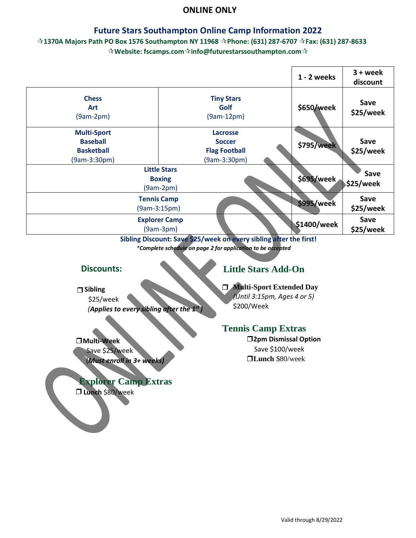#### **ONLINE ONLY**

#### **Future Stars Southampton Online Camp Information 2022**

#### **1370A Majors Path PO Box 1576 Southampton NY 11968 Phone: (631) 287-6707 Fax: (631) 287-8633 Website: fscamps.cominfo@futurestarssouthampton.com**

|                                                                            |                                                                          | 1 - 2 weeks       | $3 + week$<br>discount   |
|----------------------------------------------------------------------------|--------------------------------------------------------------------------|-------------------|--------------------------|
| <b>Chess</b><br><b>Art</b><br>$(9am-2pm)$                                  | <b>Tiny Stars</b><br>Golf<br>$(9am-12pm)$                                | \$650/week        | Save<br>\$25/week        |
| <b>Multi-Sport</b><br><b>Baseball</b><br><b>Basketball</b><br>(9am-3:30pm) | <b>Lacrosse</b><br><b>Soccer</b><br><b>Flag Football</b><br>(9am-3:30pm) | <b>\$795/week</b> | Save<br>\$25/week        |
|                                                                            | <b>Little Stars</b><br><b>Boxing</b><br>$(9am-2pm)$                      | \$695/week        | Save<br><b>\$25/week</b> |
| <b>Tennis Camp</b><br>$(9am-3:15pm)$                                       |                                                                          | \$995/week        | Save<br>\$25/week        |
|                                                                            | <b>Explorer Camp</b><br>$(9am-3pm)$                                      | \$1400/week       | Save<br>\$25/week        |

 **Sibling Discount: Save \$25/week on every sibling after the first!**  *\*Complete schedule on page 2 for application to be accepted* 

#### **Discounts:**

# **Sibling**

 \$25/week *(Applies to every sibling after the 1st )*

#### **Multi-Week**

Save \$25/week

(*Must enroll in 3+ weeks)* 

## **Explorer Camp Extras**

**Lunch** \$80/week

# **Little Stars Add-On**

# **Multi-Sport Extended Day**

*(Until 3:15pm, Ages 4 or 5)* \$200/Week

## **Tennis Camp Extras**

**2pm Dismissal Option** Save \$100/week **Lunch** \$80/week